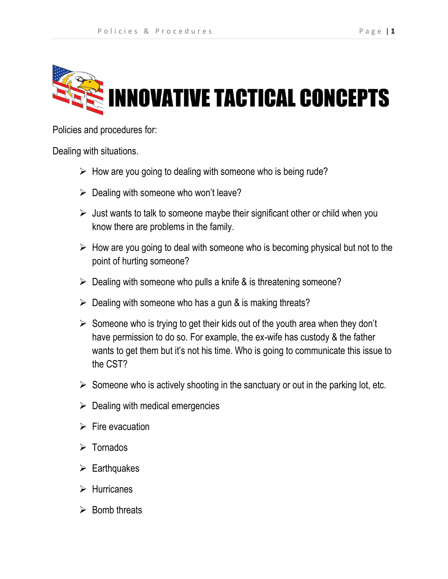

Policies and procedures for:

Dealing with situations.

- $\triangleright$  How are you going to dealing with someone who is being rude?
- $\triangleright$  Dealing with someone who won't leave?
- $\triangleright$  Just wants to talk to someone maybe their significant other or child when you know there are problems in the family.
- $\triangleright$  How are you going to deal with someone who is becoming physical but not to the point of hurting someone?
- $\triangleright$  Dealing with someone who pulls a knife & is threatening someone?
- $\triangleright$  Dealing with someone who has a gun & is making threats?
- $\triangleright$  Someone who is trying to get their kids out of the youth area when they don't have permission to do so. For example, the ex-wife has custody & the father wants to get them but it's not his time. Who is going to communicate this issue to the CST?
- $\triangleright$  Someone who is actively shooting in the sanctuary or out in the parking lot, etc.
- $\triangleright$  Dealing with medical emergencies
- $\triangleright$  Fire evacuation
- $\triangleright$  Tornados
- $\triangleright$  Earthquakes
- $\triangleright$  Hurricanes
- $\triangleright$  Bomb threats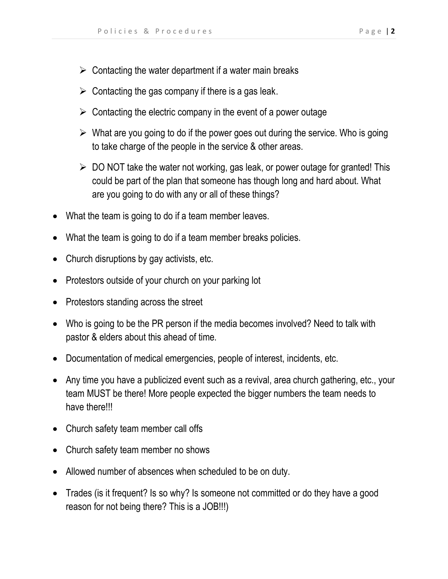- $\triangleright$  Contacting the water department if a water main breaks
- $\triangleright$  Contacting the gas company if there is a gas leak.
- $\triangleright$  Contacting the electric company in the event of a power outage
- $\triangleright$  What are you going to do if the power goes out during the service. Who is going to take charge of the people in the service & other areas.
- $\triangleright$  DO NOT take the water not working, gas leak, or power outage for granted! This could be part of the plan that someone has though long and hard about. What are you going to do with any or all of these things?
- What the team is going to do if a team member leaves.
- What the team is going to do if a team member breaks policies.
- Church disruptions by gay activists, etc.
- Protestors outside of your church on your parking lot
- Protestors standing across the street
- Who is going to be the PR person if the media becomes involved? Need to talk with pastor & elders about this ahead of time.
- Documentation of medical emergencies, people of interest, incidents, etc.
- Any time you have a publicized event such as a revival, area church gathering, etc., your team MUST be there! More people expected the bigger numbers the team needs to have there!!!
- Church safety team member call offs
- Church safety team member no shows
- Allowed number of absences when scheduled to be on duty.
- Trades (is it frequent? Is so why? Is someone not committed or do they have a good reason for not being there? This is a JOB!!!)